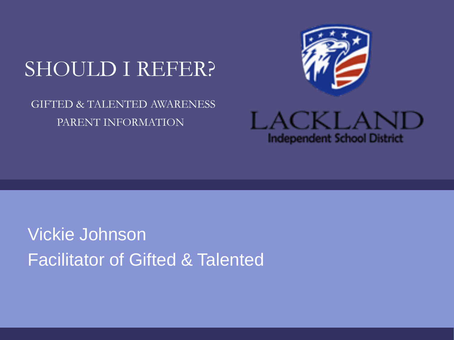# SHOULD I REFER?

#### GIFTED & TALENTED AWARENESS PARENT INFORMATION



LACKLAND **Independent School District** 

# Vickie Johnson Facilitator of Gifted & Talented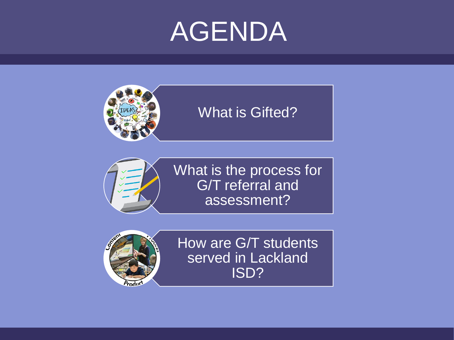# AGENDA



#### What is Gifted?



What is the process for G/T referral and assessment?



How are G/T students served in Lackland ISD?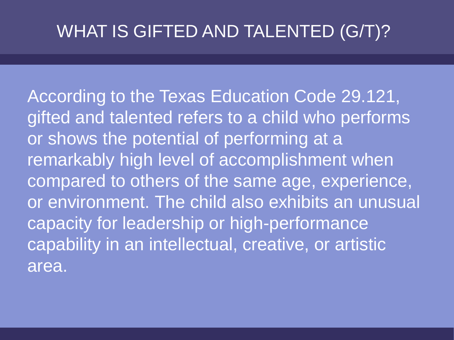#### WHAT IS GIFTED AND TALENTED (G/T)?

According to the Texas Education Code 29.121, gifted and talented refers to a child who performs or shows the potential of performing at a remarkably high level of accomplishment when compared to others of the same age, experience, or environment. The child also exhibits an unusual capacity for leadership or high-performance capability in an intellectual, creative, or artistic area.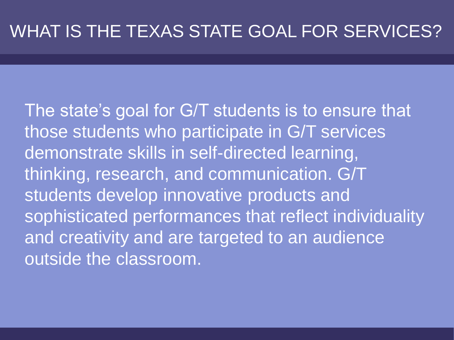The state's goal for G/T students is to ensure that those students who participate in G/T services demonstrate skills in self-directed learning, thinking, research, and communication. G/T students develop innovative products and sophisticated performances that reflect individuality and creativity and are targeted to an audience outside the classroom.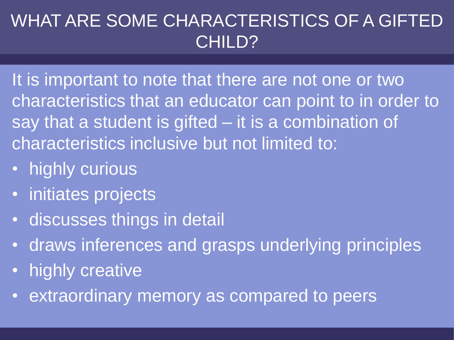#### WHAT ARE SOME CHARACTERISTICS OF A GIFTED CHILD?

It is important to note that there are not one or two characteristics that an educator can point to in order to say that a student is gifted – it is a combination of characteristics inclusive but not limited to:

- highly curious
- initiates projects
- discusses things in detail
- draws inferences and grasps underlying principles
- highly creative
- extraordinary memory as compared to peers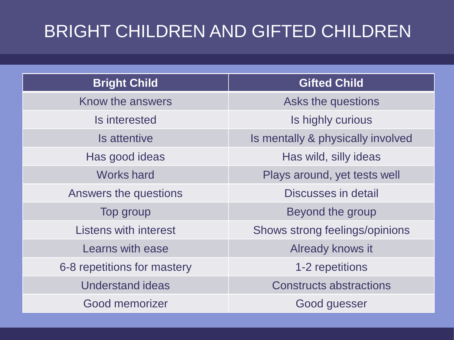## BRIGHT CHILDREN AND GIFTED CHILDREN

| <b>Bright Child</b>          | <b>Gifted Child</b>               |
|------------------------------|-----------------------------------|
| Know the answers             | Asks the questions                |
| Is interested                | Is highly curious                 |
| Is attentive                 | Is mentally & physically involved |
| Has good ideas               | Has wild, silly ideas             |
| <b>Works hard</b>            | Plays around, yet tests well      |
| Answers the questions        | Discusses in detail               |
| Top group                    | Beyond the group                  |
| <b>Listens with interest</b> | Shows strong feelings/opinions    |
| Learns with ease             | Already knows it                  |
| 6-8 repetitions for mastery  | 1-2 repetitions                   |
| <b>Understand ideas</b>      | <b>Constructs abstractions</b>    |
| <b>Good memorizer</b>        | Good guesser                      |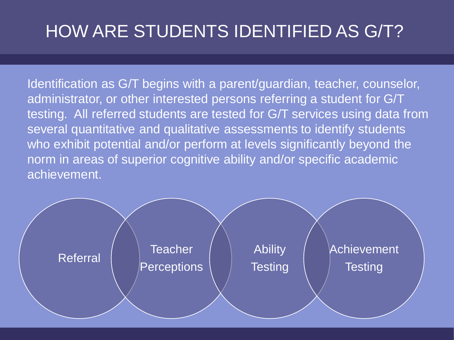### HOW ARE STUDENTS IDENTIFIED AS G/T?

Identification as G/T begins with a parent/guardian, teacher, counselor, administrator, or other interested persons referring a student for G/T testing. All referred students are tested for G/T services using data from several quantitative and qualitative assessments to identify students who exhibit potential and/or perform at levels significantly beyond the norm in areas of superior cognitive ability and/or specific academic achievement.

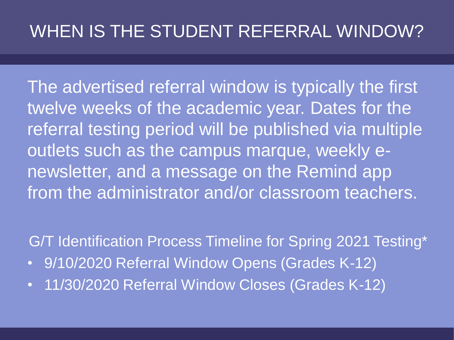#### WHEN IS THE STUDENT REFERRAL WINDOW?

The advertised referral window is typically the first twelve weeks of the academic year. Dates for the referral testing period will be published via multiple outlets such as the campus marque, weekly enewsletter, and a message on the Remind app from the administrator and/or classroom teachers.

G/T Identification Process Timeline for Spring 2021 Testing\*

- 9/10/2020 Referral Window Opens (Grades K-12)
- 11/30/2020 Referral Window Closes (Grades K-12)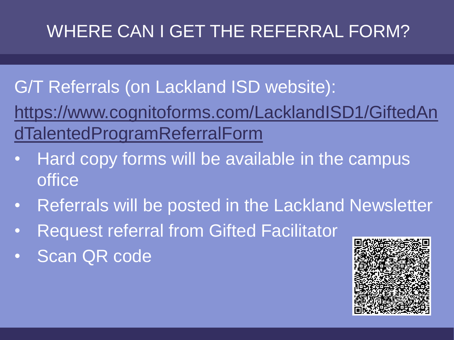# WHERE CAN I GET THE REFERRAL FORM?

#### G/T Referrals (on Lackland ISD website):

[https://www.cognitoforms.com/LacklandISD1/GiftedAn](https://lacklandisdtx-my.sharepoint.com/personal/johnson_v_lacklandisd_net/Documents/Desktop/Fianl%20Parent%20awareness.pptx?web=1) dTalentedProgramReferralForm

- Hard copy forms will be available in the campus office
- Referrals will be posted in the Lackland Newsletter
- Request referral from Gifted Facilitator
- Scan QR code

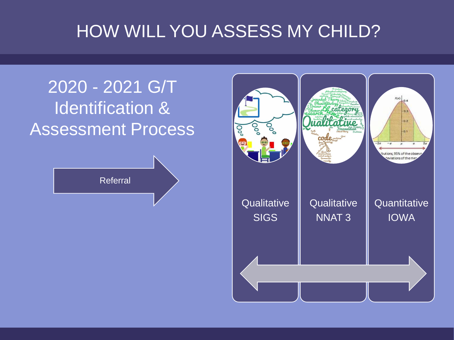#### HOW WILL YOU ASSESS MY CHILD?

#### 2020 - 2021 G/T Identification & Assessment Process



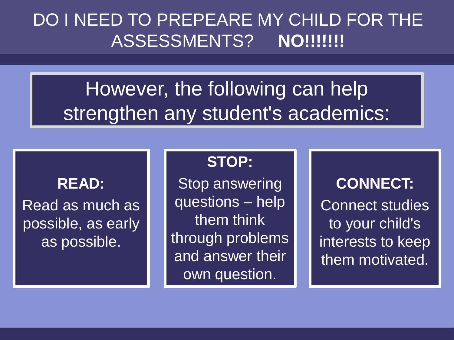#### DO I NEED TO PREPEARE MY CHILD FOR THE ASSESSMENTS? **NO!!!!!!!**

# However, the following can help strengthen any student's academics:

#### **READ:**

Read as much as possible, as early as possible.

#### **STOP:**

Stop answering questions – help them think through problems and answer their own question.

#### **CONNECT:** Connect studies to your child's interests to keep them motivated.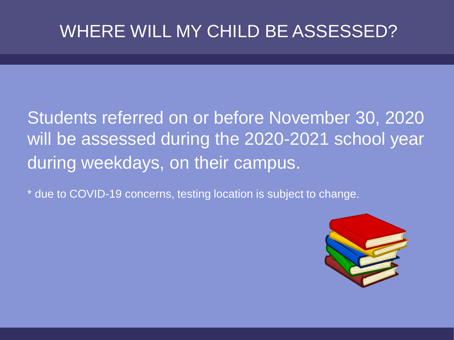#### WHERE WILL MY CHILD BE ASSESSED?

#### Students referred on or before November 30, 2020 will be assessed during the 2020-2021 school year during weekdays, on their campus.

\* due to COVID-19 concerns, testing location is subject to change.

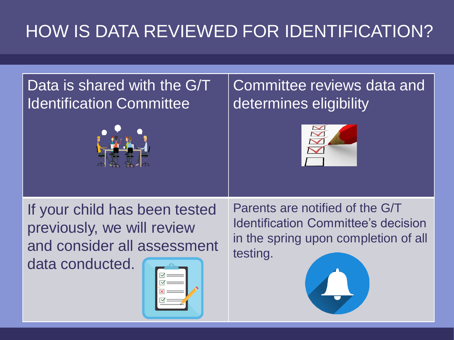# HOW IS DATA REVIEWED FOR IDENTIFICATION?

#### Data is shared with the G/T Identification Committee



#### Committee reviews data and determines eligibility



If your child has been tested previously, we will review and consider all assessment

data conducted.



Parents are notified of the G/T Identification Committee's decision in the spring upon completion of all testing.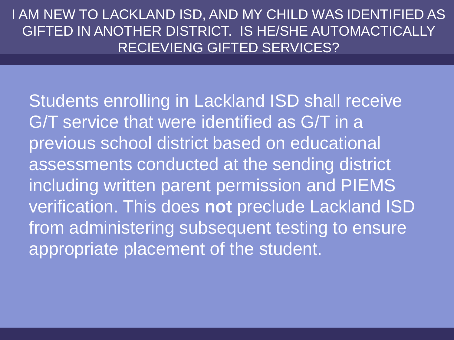I AM NEW TO LACKLAND ISD, AND MY CHILD WAS IDENTIFIED AS GIFTED IN ANOTHER DISTRICT. IS HE/SHE AUTOMACTICALLY RECIEVIENG GIFTED SERVICES?

Students enrolling in Lackland ISD shall receive G/T service that were identified as G/T in a previous school district based on educational assessments conducted at the sending district including written parent permission and PIEMS verification. This does **not** preclude Lackland ISD from administering subsequent testing to ensure appropriate placement of the student.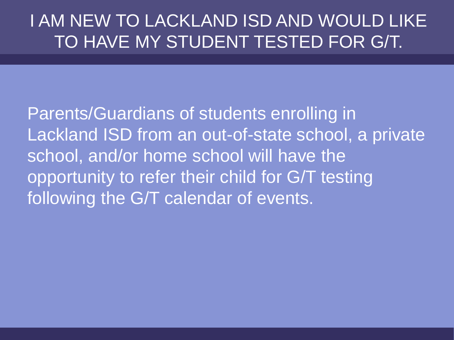#### I AM NEW TO LACKLAND ISD AND WOULD LIKE TO HAVE MY STUDENT TESTED FOR G/T.

Parents/Guardians of students enrolling in Lackland ISD from an out-of-state school, a private school, and/or home school will have the opportunity to refer their child for G/T testing following the G/T calendar of events.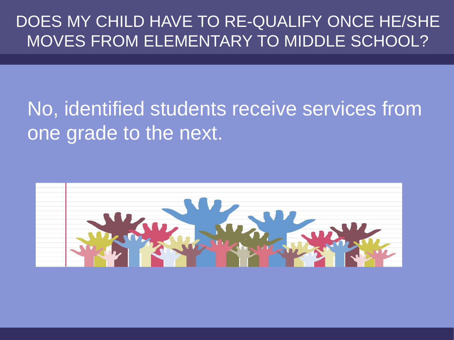#### DOES MY CHILD HAVE TO RE-QUALIFY ONCE HE/SHE MOVES FROM ELEMENTARY TO MIDDLE SCHOOL?

# No, identified students receive services from one grade to the next.

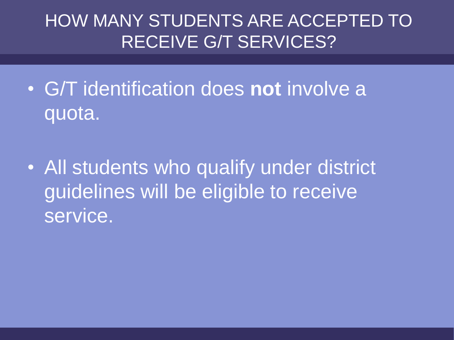#### HOW MANY STUDENTS ARE ACCEPTED TO RECEIVE G/T SERVICES?

- G/T identification does **not** involve a quota.
- All students who qualify under district guidelines will be eligible to receive service.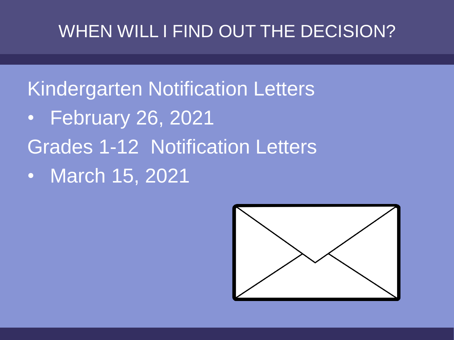#### WHEN WILL I FIND OUT THE DECISION?

# Kindergarten Notification Letters

- February 26, 2021
- Grades 1-12 Notification Letters
- March 15, 2021

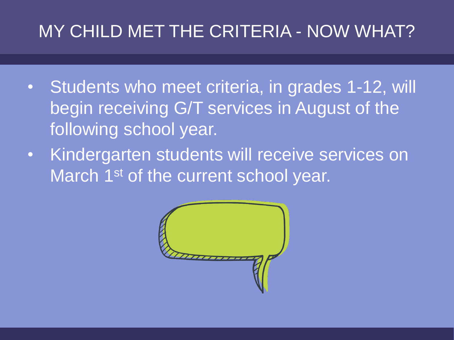#### MY CHILD MET THE CRITERIA - NOW WHAT?

- Students who meet criteria, in grades 1-12, will begin receiving G/T services in August of the following school year.
- Kindergarten students will receive services on March 1<sup>st</sup> of the current school year.

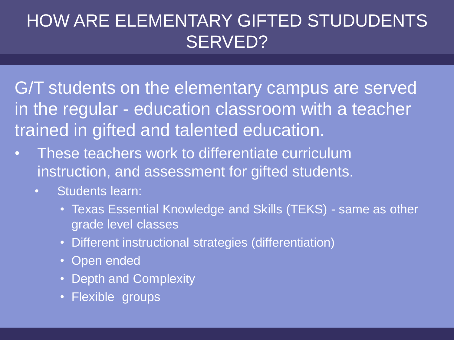#### HOW ARE ELEMENTARY GIFTED STUDUDENTS SERVED?

G/T students on the elementary campus are served in the regular - education classroom with a teacher trained in gifted and talented education.

- These teachers work to differentiate curriculum instruction, and assessment for gifted students.
	- Students learn:
		- Texas Essential Knowledge and Skills (TEKS) same as other grade level classes
		- Different instructional strategies (differentiation)
		- Open ended
		- Depth and Complexity
		- Flexible groups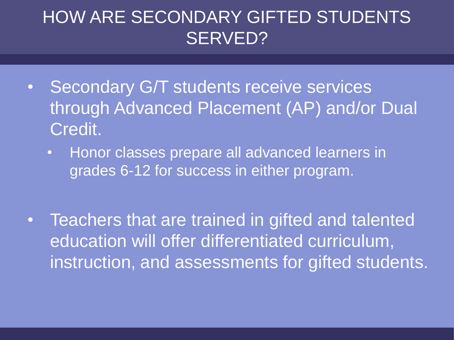#### HOW ARE SECONDARY GIFTED STUDENTS SERVED?

- Secondary G/T students receive services through Advanced Placement (AP) and/or Dual Credit.
	- Honor classes prepare all advanced learners in grades 6-12 for success in either program.
- Teachers that are trained in gifted and talented education will offer differentiated curriculum, instruction, and assessments for gifted students.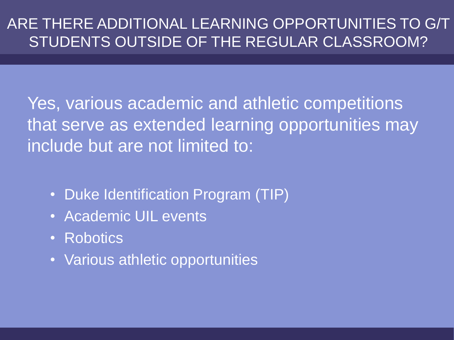#### ARE THERE ADDITIONAL LEARNING OPPORTUNITIES TO G/T STUDENTS OUTSIDE OF THE REGULAR CLASSROOM?

Yes, various academic and athletic competitions that serve as extended learning opportunities may include but are not limited to:

- Duke Identification Program (TIP)
- Academic UIL events
- Robotics
- Various athletic opportunities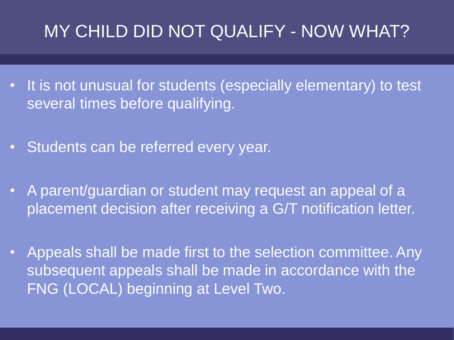#### MY CHILD DID NOT QUALIFY - NOW WHAT?

- It is not unusual for students (especially elementary) to test several times before qualifying.
- Students can be referred every year.
- A parent/guardian or student may request an appeal of a placement decision after receiving a G/T notification letter.
- Appeals shall be made first to the selection committee. Any subsequent appeals shall be made in accordance with the FNG (LOCAL) beginning at Level Two.